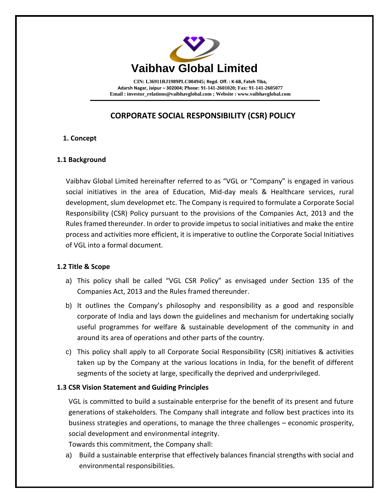

**CIN: L36911RJ1989PLC004945; Regd. Off. : K-6B, Fateh Tiba, Adarsh Nagar, Jaipur – 302004; Phone: 91-141-2601020; Fax: 91-141-2605077 Email [: investor\\_relations@vaibhavglobal.com](mailto:vgl@vaibhavglobal.com) ; Website [: www.vaibhavglobal.com](http://www.vaibhavglobal.com/)**

# **CORPORATE SOCIAL RESPONSIBILITY (CSR) POLICY**

# **1. Concept**

#### **1.1 Background**

 Vaibhav Global Limited hereinafter referred to as "VGL or "Company" is engaged in various social initiatives in the area of Education, Mid-day meals & Healthcare services, rural development, slum developmet etc. The Company is required to formulate a Corporate Social Responsibility (CSR) Policy pursuant to the provisions of the Companies Act, 2013 and the Rules framed thereunder. In order to provide impetus to social initiatives and make the entire process and activities more efficient, it is imperative to outline the Corporate Social Initiatives of VGL into a formal document.

#### **1.2 Title & Scope**

- a) This policy shall be called "VGL CSR Policy" as envisaged under Section 135 of the Companies Act, 2013 and the Rules framed thereunder.
- b) It outlines the Company's philosophy and responsibility as a good and responsible corporate of India and lays down the guidelines and mechanism for undertaking socially useful programmes for welfare & sustainable development of the community in and around its area of operations and other parts of the country.
- c) This policy shall apply to all Corporate Social Responsibility (CSR) initiatives & activities taken up by the Company at the various locations in India, for the benefit of different segments of the society at large, specifically the deprived and underprivileged.

#### **1.3 CSR Vision Statement and Guiding Principles**

VGL is committed to build a sustainable enterprise for the benefit of its present and future generations of stakeholders. The Company shall integrate and follow best practices into its business strategies and operations, to manage the three challenges – economic prosperity, social development and environmental integrity.

Towards this commitment, the Company shall:

a) Build a sustainable enterprise that effectively balances financial strengths with social and environmental responsibilities.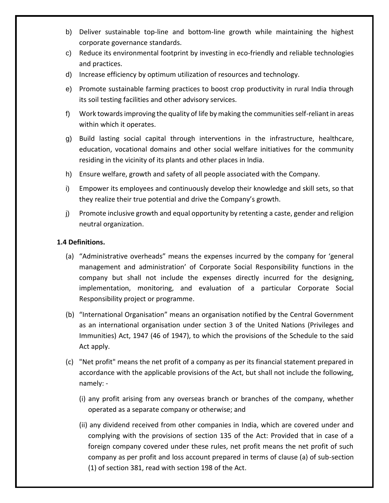- b) Deliver sustainable top-line and bottom-line growth while maintaining the highest corporate governance standards.
- c) Reduce its environmental footprint by investing in eco-friendly and reliable technologies and practices.
- d) Increase efficiency by optimum utilization of resources and technology.
- e) Promote sustainable farming practices to boost crop productivity in rural India through its soil testing facilities and other advisory services.
- f) Work towards improving the quality of life by making the communities self-reliant in areas within which it operates.
- g) Build lasting social capital through interventions in the infrastructure, healthcare, education, vocational domains and other social welfare initiatives for the community residing in the vicinity of its plants and other places in India.
- h) Ensure welfare, growth and safety of all people associated with the Company.
- i) Empower its employees and continuously develop their knowledge and skill sets, so that they realize their true potential and drive the Company's growth.
- j) Promote inclusive growth and equal opportunity by retenting a caste, gender and religion neutral organization.

#### **1.4 Definitions.**

- (a) "Administrative overheads" means the expenses incurred by the company for 'general management and administration' of Corporate Social Responsibility functions in the company but shall not include the expenses directly incurred for the designing, implementation, monitoring, and evaluation of a particular Corporate Social Responsibility project or programme.
- (b) "International Organisation" means an organisation notified by the Central Government as an international organisation under section 3 of the United Nations (Privileges and Immunities) Act, 1947 (46 of 1947), to which the provisions of the Schedule to the said Act apply.
- (c) "Net profit" means the net profit of a company as per its financial statement prepared in accordance with the applicable provisions of the Act, but shall not include the following, namely: -
	- (i) any profit arising from any overseas branch or branches of the company, whether operated as a separate company or otherwise; and
	- (ii) any dividend received from other companies in India, which are covered under and complying with the provisions of section 135 of the Act: Provided that in case of a foreign company covered under these rules, net profit means the net profit of such company as per profit and loss account prepared in terms of clause (a) of sub-section (1) of section 381, read with section 198 of the Act.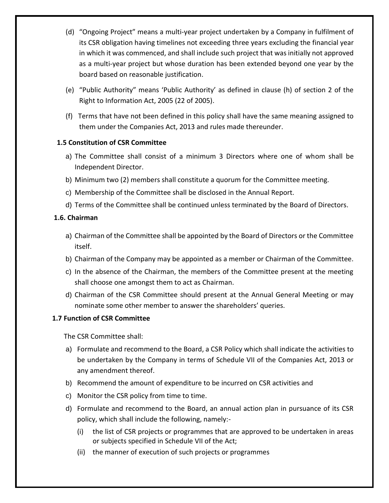- (d) "Ongoing Project" means a multi-year project undertaken by a Company in fulfilment of its CSR obligation having timelines not exceeding three years excluding the financial year in which it was commenced, and shall include such project that was initially not approved as a multi-year project but whose duration has been extended beyond one year by the board based on reasonable justification.
- (e) "Public Authority" means 'Public Authority' as defined in clause (h) of section 2 of the Right to Information Act, 2005 (22 of 2005).
- (f) Terms that have not been defined in this policy shall have the same meaning assigned to them under the Companies Act, 2013 and rules made thereunder.

# **1.5 Constitution of CSR Committee**

- a) The Committee shall consist of a minimum 3 Directors where one of whom shall be Independent Director.
- b) Minimum two (2) members shall constitute a quorum for the Committee meeting.
- c) Membership of the Committee shall be disclosed in the Annual Report.
- d) Terms of the Committee shall be continued unless terminated by the Board of Directors.

# **1.6. Chairman**

- a) Chairman of the Committee shall be appointed by the Board of Directors or the Committee itself.
- b) Chairman of the Company may be appointed as a member or Chairman of the Committee.
- c) In the absence of the Chairman, the members of the Committee present at the meeting shall choose one amongst them to act as Chairman.
- d) Chairman of the CSR Committee should present at the Annual General Meeting or may nominate some other member to answer the shareholders' queries.

# **1.7 Function of CSR Committee**

The CSR Committee shall:

- a) Formulate and recommend to the Board, a CSR Policy which shall indicate the activities to be undertaken by the Company in terms of Schedule VII of the Companies Act, 2013 or any amendment thereof.
- b) Recommend the amount of expenditure to be incurred on CSR activities and
- c) Monitor the CSR policy from time to time.
- d) Formulate and recommend to the Board, an annual action plan in pursuance of its CSR policy, which shall include the following, namely:-
	- (i) the list of CSR projects or programmes that are approved to be undertaken in areas or subjects specified in Schedule VII of the Act;
	- (ii) the manner of execution of such projects or programmes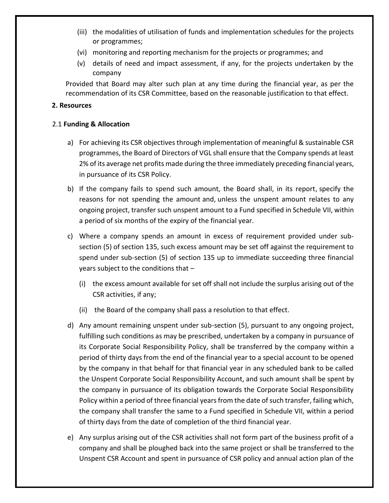- (iii) the modalities of utilisation of funds and implementation schedules for the projects or programmes;
- (vi) monitoring and reporting mechanism for the projects or programmes; and
- (v) details of need and impact assessment, if any, for the projects undertaken by the company

Provided that Board may alter such plan at any time during the financial year, as per the recommendation of its CSR Committee, based on the reasonable justification to that effect.

#### **2. Resources**

#### 2.1 **Funding & Allocation**

- a) For achieving its CSR objectives through implementation of meaningful & sustainable CSR programmes, the Board of Directors of VGL shall ensure that the Company spends at least 2% of its average net profits made during the three immediately preceding financial years, in pursuance of its CSR Policy.
- b) If the company fails to spend such amount, the Board shall, in its report, specify the reasons for not spending the amount and, unless the unspent amount relates to any ongoing project, transfer such unspent amount to a Fund specified in Schedule VII, within a period of six months of the expiry of the financial year.
- c) Where a company spends an amount in excess of requirement provided under subsection (5) of section 135, such excess amount may be set off against the requirement to spend under sub-section (5) of section 135 up to immediate succeeding three financial years subject to the conditions that –
	- (i) the excess amount available for set off shall not include the surplus arising out of the CSR activities, if any;
	- (ii) the Board of the company shall pass a resolution to that effect.
- d) Any amount remaining unspent under sub-section (5), pursuant to any ongoing project, fulfilling such conditions as may be prescribed, undertaken by a company in pursuance of its Corporate Social Responsibility Policy, shall be transferred by the company within a period of thirty days from the end of the financial year to a special account to be opened by the company in that behalf for that financial year in any scheduled bank to be called the Unspent Corporate Social Responsibility Account, and such amount shall be spent by the company in pursuance of its obligation towards the Corporate Social Responsibility Policy within a period of three financial years from the date of such transfer, failing which, the company shall transfer the same to a Fund specified in Schedule VII, within a period of thirty days from the date of completion of the third financial year.
- e) Any surplus arising out of the CSR activities shall not form part of the business profit of a company and shall be ploughed back into the same project or shall be transferred to the Unspent CSR Account and spent in pursuance of CSR policy and annual action plan of the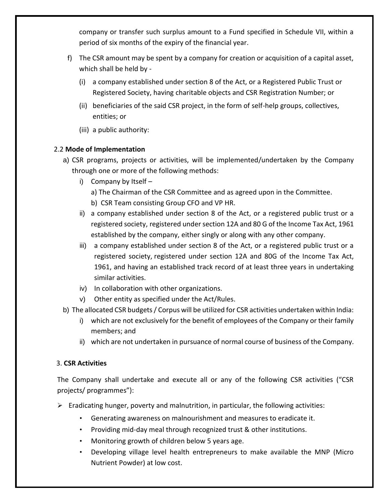company or transfer such surplus amount to a Fund specified in Schedule VII, within a period of six months of the expiry of the financial year.

- f) The CSR amount may be spent by a company for creation or acquisition of a capital asset, which shall be held by -
	- (i) a company established under section 8 of the Act, or a Registered Public Trust or Registered Society, having charitable objects and CSR Registration Number; or
	- (ii) beneficiaries of the said CSR project, in the form of self-help groups, collectives, entities; or
	- (iii) a public authority:

# 2.2 **Mode of Implementation**

- a) CSR programs, projects or activities, will be implemented/undertaken by the Company through one or more of the following methods:
	- i) Company by Itself
		- a) The Chairman of the CSR Committee and as agreed upon in the Committee.
		- b) CSR Team consisting Group CFO and VP HR.
	- ii) a company established under section 8 of the Act, or a registered public trust or a registered society, registered under section 12A and 80 G of the Income Tax Act, 1961 established by the company, either singly or along with any other company.
	- iii) a company established under section 8 of the Act, or a registered public trust or a registered society, registered under section 12A and 80G of the Income Tax Act, 1961, and having an established track record of at least three years in undertaking similar activities.
	- iv) In collaboration with other organizations.
	- v) Other entity as specified under the Act/Rules.
- b) The allocated CSR budgets / Corpus will be utilized for CSR activities undertaken within India:
	- i) which are not exclusively for the benefit of employees of the Company or their family members; and
	- ii) which are not undertaken in pursuance of normal course of business of the Company.

# 3. **CSR Activities**

The Company shall undertake and execute all or any of the following CSR activities ("CSR projects/ programmes"):

- $\triangleright$  Eradicating hunger, poverty and malnutrition, in particular, the following activities:
	- Generating awareness on malnourishment and measures to eradicate it.
	- Providing mid-day meal through recognized trust & other institutions.
	- Monitoring growth of children below 5 years age.
	- Developing village level health entrepreneurs to make available the MNP (Micro Nutrient Powder) at low cost.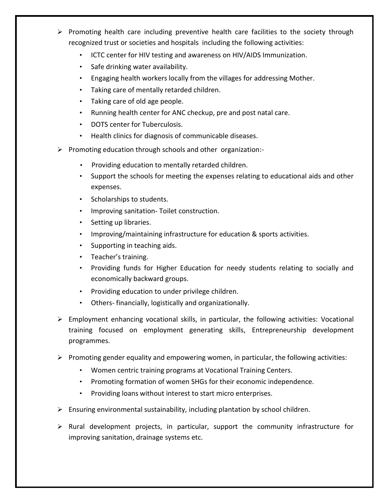- $\triangleright$  Promoting health care including preventive health care facilities to the society through recognized trust or societies and hospitals including the following activities:
	- ICTC center for HIV testing and awareness on HIV/AIDS Immunization.
	- Safe drinking water availability.
	- Engaging health workers locally from the villages for addressing Mother.
	- Taking care of mentally retarded children.
	- Taking care of old age people.
	- Running health center for ANC checkup, pre and post natal care.
	- DOTS center for Tuberculosis.
	- Health clinics for diagnosis of communicable diseases.
- ➢ Promoting education through schools and other organization:-
	- Providing education to mentally retarded children.
	- Support the schools for meeting the expenses relating to educational aids and other expenses.
	- Scholarships to students.
	- Improving sanitation- Toilet construction.
	- Setting up libraries.
	- Improving/maintaining infrastructure for education & sports activities.
	- Supporting in teaching aids.
	- Teacher's training.
	- Providing funds for Higher Education for needy students relating to socially and economically backward groups.
	- Providing education to under privilege children.
	- Others- financially, logistically and organizationally.
- $\triangleright$  Employment enhancing vocational skills, in particular, the following activities: Vocational training focused on employment generating skills, Entrepreneurship development programmes.
- ➢ Promoting gender equality and empowering women, in particular, the following activities:
	- Women centric training programs at Vocational Training Centers.
	- Promoting formation of women SHGs for their economic independence.
	- Providing loans without interest to start micro enterprises.
- $\triangleright$  Ensuring environmental sustainability, including plantation by school children.
- $\triangleright$  Rural development projects, in particular, support the community infrastructure for improving sanitation, drainage systems etc.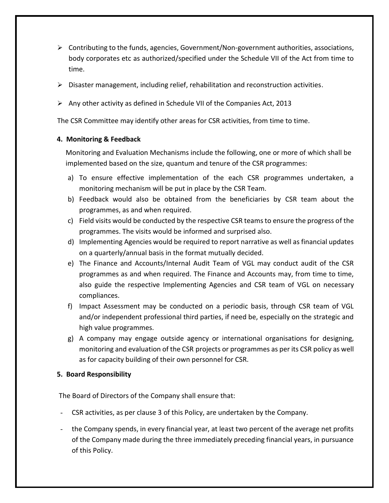- ➢ Contributing to the funds, agencies, Government/Non-government authorities, associations, body corporates etc as authorized/specified under the Schedule VII of the Act from time to time.
- $\triangleright$  Disaster management, including relief, rehabilitation and reconstruction activities.
- $\triangleright$  Any other activity as defined in Schedule VII of the Companies Act, 2013

The CSR Committee may identify other areas for CSR activities, from time to time.

#### **4. Monitoring & Feedback**

Monitoring and Evaluation Mechanisms include the following, one or more of which shall be implemented based on the size, quantum and tenure of the CSR programmes:

- a) To ensure effective implementation of the each CSR programmes undertaken, a monitoring mechanism will be put in place by the CSR Team.
- b) Feedback would also be obtained from the beneficiaries by CSR team about the programmes, as and when required.
- c) Field visits would be conducted by the respective CSR teams to ensure the progress of the programmes. The visits would be informed and surprised also.
- d) Implementing Agencies would be required to report narrative as well as financial updates on a quarterly/annual basis in the format mutually decided.
- e) The Finance and Accounts/Internal Audit Team of VGL may conduct audit of the CSR programmes as and when required. The Finance and Accounts may, from time to time, also guide the respective Implementing Agencies and CSR team of VGL on necessary compliances.
- f) Impact Assessment may be conducted on a periodic basis, through CSR team of VGL and/or independent professional third parties, if need be, especially on the strategic and high value programmes.
- g) A company may engage outside agency or international organisations for designing, monitoring and evaluation of the CSR projects or programmes as per its CSR policy as well as for capacity building of their own personnel for CSR.

# **5. Board Responsibility**

The Board of Directors of the Company shall ensure that:

- CSR activities, as per clause 3 of this Policy, are undertaken by the Company.
- the Company spends, in every financial year, at least two percent of the average net profits of the Company made during the three immediately preceding financial years, in pursuance of this Policy.